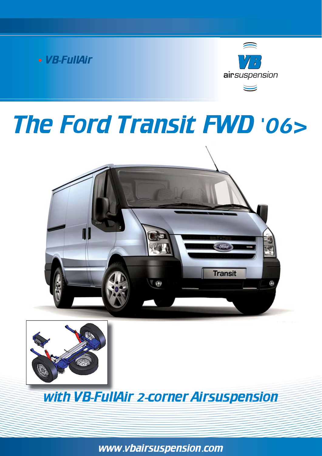



# The Ford Transit FWD '06>





with VB-FullAir 2-corner Airsuspension

www.vbairsuspension.com